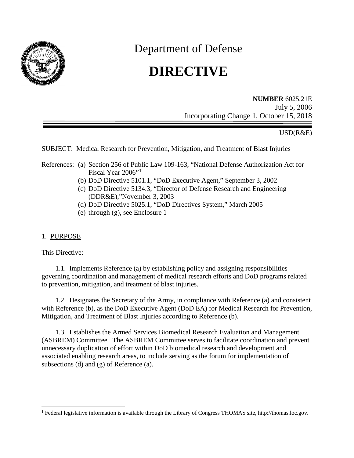

Department of Defense

# **DIRECTIVE**

**NUMBER** 6025.21E July 5, 2006 Incorporating Change 1, October 15, 2018

#### USD(R&E)

SUBJECT: Medical Research for Prevention, Mitigation, and Treatment of Blast Injuries

- References: (a) Section 256 of Public Law 109-163, "National Defense Authorization Act for Fiscal Year 2006"<sup>[1](#page-0-0)</sup>
	- (b) DoD Directive 5101.1, "DoD Executive Agent," September 3, 2002
	- (c) DoD Directive 5134.3, "Director of Defense Research and Engineering (DDR&E),"November 3, 2003
	- (d) DoD Directive 5025.1, "DoD Directives System," March 2005
	- (e) through (g), see Enclosure 1

#### 1. PURPOSE

This Directive:

1.1. Implements Reference (a) by establishing policy and assigning responsibilities governing coordination and management of medical research efforts and DoD programs related to prevention, mitigation, and treatment of blast injuries.

1.2. Designates the Secretary of the Army, in compliance with Reference (a) and consistent with Reference (b), as the DoD Executive Agent (DoD EA) for Medical Research for Prevention, Mitigation, and Treatment of Blast Injuries according to Reference (b).

1.3. Establishes the Armed Services Biomedical Research Evaluation and Management (ASBREM) Committee. The ASBREM Committee serves to facilitate coordination and prevent unnecessary duplication of effort within DoD biomedical research and development and associated enabling research areas, to include serving as the forum for implementation of subsections (d) and (g) of Reference (a).

<span id="page-0-0"></span><sup>&</sup>lt;sup>1</sup> Federal legislative information is available through the Library of Congress THOMAS site, http://thomas.loc.gov.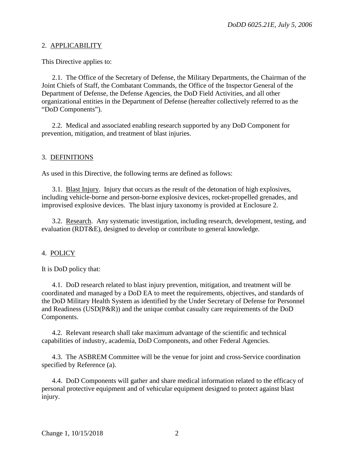#### 2. APPLICABILITY

This Directive applies to:

2.1. The Office of the Secretary of Defense, the Military Departments, the Chairman of the Joint Chiefs of Staff, the Combatant Commands, the Office of the Inspector General of the Department of Defense, the Defense Agencies, the DoD Field Activities, and all other organizational entities in the Department of Defense (hereafter collectively referred to as the "DoD Components").

2.2. Medical and associated enabling research supported by any DoD Component for prevention, mitigation, and treatment of blast injuries.

## 3. DEFINITIONS

As used in this Directive, the following terms are defined as follows:

3.1. Blast Injury. Injury that occurs as the result of the detonation of high explosives, including vehicle-borne and person-borne explosive devices, rocket-propelled grenades, and improvised explosive devices. The blast injury taxonomy is provided at Enclosure 2.

3.2. Research. Any systematic investigation, including research, development, testing, and evaluation (RDT&E), designed to develop or contribute to general knowledge.

## 4. POLICY

It is DoD policy that:

4.1. DoD research related to blast injury prevention, mitigation, and treatment will be coordinated and managed by a DoD EA to meet the requirements, objectives, and standards of the DoD Military Health System as identified by the Under Secretary of Defense for Personnel and Readiness (USD(P&R)) and the unique combat casualty care requirements of the DoD Components.

4.2. Relevant research shall take maximum advantage of the scientific and technical capabilities of industry, academia, DoD Components, and other Federal Agencies.

4.3. The ASBREM Committee will be the venue for joint and cross-Service coordination specified by Reference (a).

4.4. DoD Components will gather and share medical information related to the efficacy of personal protective equipment and of vehicular equipment designed to protect against blast injury.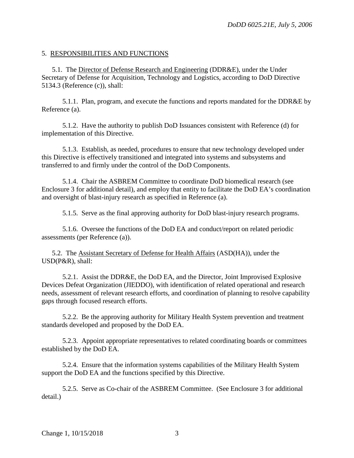#### 5. RESPONSIBILITIES AND FUNCTIONS

5.1. The Director of Defense Research and Engineering (DDR&E), under the Under Secretary of Defense for Acquisition, Technology and Logistics, according to DoD Directive 5134.3 (Reference (c)), shall:

5.1.1. Plan, program, and execute the functions and reports mandated for the DDR&E by Reference (a).

5.1.2. Have the authority to publish DoD Issuances consistent with Reference (d) for implementation of this Directive.

5.1.3. Establish, as needed, procedures to ensure that new technology developed under this Directive is effectively transitioned and integrated into systems and subsystems and transferred to and firmly under the control of the DoD Components.

5.1.4. Chair the ASBREM Committee to coordinate DoD biomedical research (see Enclosure 3 for additional detail), and employ that entity to facilitate the DoD EA's coordination and oversight of blast-injury research as specified in Reference (a).

5.1.5. Serve as the final approving authority for DoD blast-injury research programs.

5.1.6. Oversee the functions of the DoD EA and conduct/report on related periodic assessments (per Reference (a)).

5.2. The Assistant Secretary of Defense for Health Affairs (ASD(HA)), under the USD(P&R), shall:

5.2.1. Assist the DDR&E, the DoD EA, and the Director, Joint Improvised Explosive Devices Defeat Organization (JIEDDO), with identification of related operational and research needs, assessment of relevant research efforts, and coordination of planning to resolve capability gaps through focused research efforts.

5.2.2. Be the approving authority for Military Health System prevention and treatment standards developed and proposed by the DoD EA.

5.2.3. Appoint appropriate representatives to related coordinating boards or committees established by the DoD EA.

5.2.4. Ensure that the information systems capabilities of the Military Health System support the DoD EA and the functions specified by this Directive.

5.2.5. Serve as Co-chair of the ASBREM Committee. (See Enclosure 3 for additional detail.)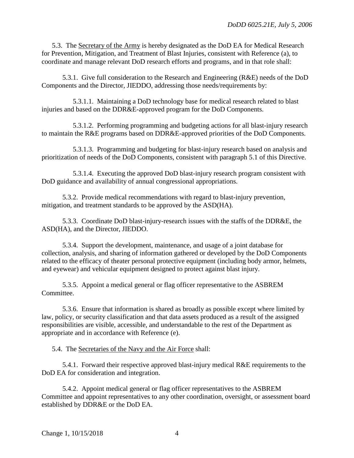5.3. The Secretary of the Army is hereby designated as the DoD EA for Medical Research for Prevention, Mitigation, and Treatment of Blast Injuries, consistent with Reference (a), to coordinate and manage relevant DoD research efforts and programs, and in that role shall:

5.3.1. Give full consideration to the Research and Engineering (R&E) needs of the DoD Components and the Director, JIEDDO, addressing those needs/requirements by:

5.3.1.1. Maintaining a DoD technology base for medical research related to blast injuries and based on the DDR&E-approved program for the DoD Components.

5.3.1.2. Performing programming and budgeting actions for all blast-injury research to maintain the R&E programs based on DDR&E-approved priorities of the DoD Components.

5.3.1.3. Programming and budgeting for blast-injury research based on analysis and prioritization of needs of the DoD Components, consistent with paragraph 5.1 of this Directive.

5.3.1.4. Executing the approved DoD blast-injury research program consistent with DoD guidance and availability of annual congressional appropriations.

5.3.2. Provide medical recommendations with regard to blast-injury prevention, mitigation, and treatment standards to be approved by the ASD(HA).

5.3.3. Coordinate DoD blast-injury-research issues with the staffs of the DDR&E, the ASD(HA), and the Director, JIEDDO.

5.3.4. Support the development, maintenance, and usage of a joint database for collection, analysis, and sharing of information gathered or developed by the DoD Components related to the efficacy of theater personal protective equipment (including body armor, helmets, and eyewear) and vehicular equipment designed to protect against blast injury.

5.3.5. Appoint a medical general or flag officer representative to the ASBREM Committee.

5.3.6. Ensure that information is shared as broadly as possible except where limited by law, policy, or security classification and that data assets produced as a result of the assigned responsibilities are visible, accessible, and understandable to the rest of the Department as appropriate and in accordance with Reference (e).

5.4. The Secretaries of the Navy and the Air Force shall:

5.4.1. Forward their respective approved blast-injury medical R&E requirements to the DoD EA for consideration and integration.

5.4.2. Appoint medical general or flag officer representatives to the ASBREM Committee and appoint representatives to any other coordination, oversight, or assessment board established by DDR&E or the DoD EA.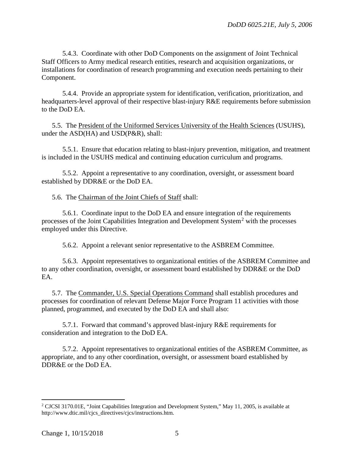5.4.3. Coordinate with other DoD Components on the assignment of Joint Technical Staff Officers to Army medical research entities, research and acquisition organizations, or installations for coordination of research programming and execution needs pertaining to their Component.

5.4.4. Provide an appropriate system for identification, verification, prioritization, and headquarters-level approval of their respective blast-injury R&E requirements before submission to the DoD EA.

5.5. The President of the Uniformed Services University of the Health Sciences (USUHS), under the ASD(HA) and USD(P&R), shall:

5.5.1. Ensure that education relating to blast-injury prevention, mitigation, and treatment is included in the USUHS medical and continuing education curriculum and programs.

5.5.2. Appoint a representative to any coordination, oversight, or assessment board established by DDR&E or the DoD EA.

5.6. The Chairman of the Joint Chiefs of Staff shall:

5.6.1. Coordinate input to the DoD EA and ensure integration of the requirements processes of the Joint Capabilities Integration and Development System<sup>[2](#page-4-0)</sup> with the processes employed under this Directive.

5.6.2. Appoint a relevant senior representative to the ASBREM Committee.

5.6.3. Appoint representatives to organizational entities of the ASBREM Committee and to any other coordination, oversight, or assessment board established by DDR&E or the DoD EA.

5.7. The Commander, U.S. Special Operations Command shall establish procedures and processes for coordination of relevant Defense Major Force Program 11 activities with those planned, programmed, and executed by the DoD EA and shall also:

5.7.1. Forward that command's approved blast-injury R&E requirements for consideration and integration to the DoD EA.

5.7.2. Appoint representatives to organizational entities of the ASBREM Committee, as appropriate, and to any other coordination, oversight, or assessment board established by DDR&E or the DoD EA.

<span id="page-4-0"></span><sup>&</sup>lt;sup>2</sup> CJCSI 3170.01E, "Joint Capabilities Integration and Development System," May 11, 2005, is available at http://www.dtic.mil/cjcs\_directives/cjcs/instructions.htm.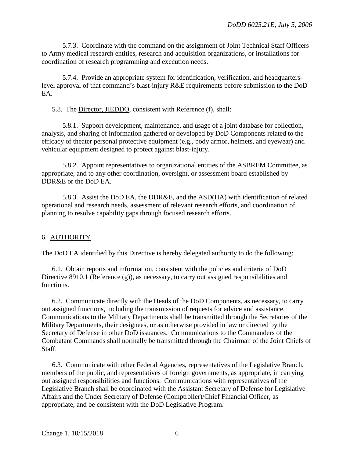5.7.3. Coordinate with the command on the assignment of Joint Technical Staff Officers to Army medical research entities, research and acquisition organizations, or installations for coordination of research programming and execution needs.

5.7.4. Provide an appropriate system for identification, verification, and headquarterslevel approval of that command's blast-injury R&E requirements before submission to the DoD EA.

5.8. The Director, JIEDDO, consistent with Reference (f), shall:

5.8.1. Support development, maintenance, and usage of a joint database for collection, analysis, and sharing of information gathered or developed by DoD Components related to the efficacy of theater personal protective equipment (e.g., body armor, helmets, and eyewear) and vehicular equipment designed to protect against blast-injury.

5.8.2. Appoint representatives to organizational entities of the ASBREM Committee, as appropriate, and to any other coordination, oversight, or assessment board established by DDR&E or the DoD EA.

5.8.3. Assist the DoD EA, the DDR&E, and the ASD(HA) with identification of related operational and research needs, assessment of relevant research efforts, and coordination of planning to resolve capability gaps through focused research efforts.

## 6. AUTHORITY

The DoD EA identified by this Directive is hereby delegated authority to do the following:

6.1. Obtain reports and information, consistent with the policies and criteria of DoD Directive 8910.1 (Reference (g)), as necessary, to carry out assigned responsibilities and functions.

6.2. Communicate directly with the Heads of the DoD Components, as necessary, to carry out assigned functions, including the transmission of requests for advice and assistance. Communications to the Military Departments shall be transmitted through the Secretaries of the Military Departments, their designees, or as otherwise provided in law or directed by the Secretary of Defense in other DoD issuances. Communications to the Commanders of the Combatant Commands shall normally be transmitted through the Chairman of the Joint Chiefs of Staff.

6.3. Communicate with other Federal Agencies, representatives of the Legislative Branch, members of the public, and representatives of foreign governments, as appropriate, in carrying out assigned responsibilities and functions. Communications with representatives of the Legislative Branch shall be coordinated with the Assistant Secretary of Defense for Legislative Affairs and the Under Secretary of Defense (Comptroller)/Chief Financial Officer, as appropriate, and be consistent with the DoD Legislative Program.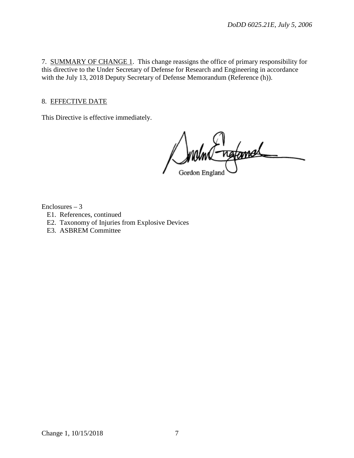7. SUMMARY OF CHANGE 1. This change reassigns the office of primary responsibility for this directive to the Under Secretary of Defense for Research and Engineering in accordance with the July 13, 2018 Deputy Secretary of Defense Memorandum (Reference (h)).

# 8. EFFECTIVE DATE

This Directive is effective immediately.

ngfamel Gordon England

Enclosures – 3

- E1. References, continued
- E2. Taxonomy of Injuries from Explosive Devices
- E3. ASBREM Committee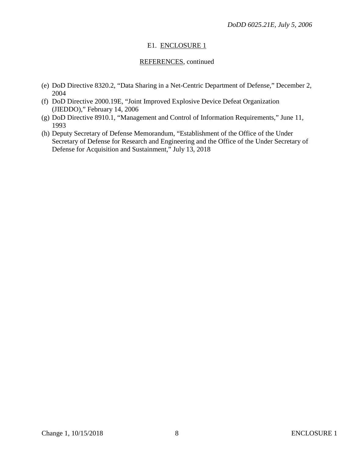# E1. ENCLOSURE 1

## REFERENCES, continued

- (e) DoD Directive 8320.2, "Data Sharing in a Net-Centric Department of Defense," December 2, 2004
- (f) DoD Directive 2000.19E, "Joint Improved Explosive Device Defeat Organization (JIEDDO)," February 14, 2006
- (g) DoD Directive 8910.1, "Management and Control of Information Requirements," June 11, 1993
- (h) Deputy Secretary of Defense Memorandum, "Establishment of the Office of the Under Secretary of Defense for Research and Engineering and the Office of the Under Secretary of Defense for Acquisition and Sustainment," July 13, 2018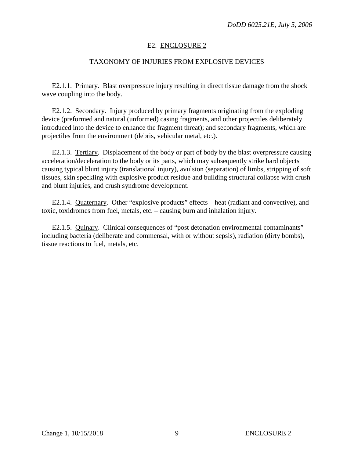## E2. ENCLOSURE 2

## TAXONOMY OF INJURIES FROM EXPLOSIVE DEVICES

E2.1.1. Primary. Blast overpressure injury resulting in direct tissue damage from the shock wave coupling into the body.

E2.1.2. Secondary. Injury produced by primary fragments originating from the exploding device (preformed and natural (unformed) casing fragments, and other projectiles deliberately introduced into the device to enhance the fragment threat); and secondary fragments, which are projectiles from the environment (debris, vehicular metal, etc.).

E2.1.3. Tertiary. Displacement of the body or part of body by the blast overpressure causing acceleration/deceleration to the body or its parts, which may subsequently strike hard objects causing typical blunt injury (translational injury), avulsion (separation) of limbs, stripping of soft tissues, skin speckling with explosive product residue and building structural collapse with crush and blunt injuries, and crush syndrome development.

E2.1.4. Quaternary. Other "explosive products" effects – heat (radiant and convective), and toxic, toxidromes from fuel, metals, etc. – causing burn and inhalation injury.

E2.1.5. Quinary. Clinical consequences of "post detonation environmental contaminants" including bacteria (deliberate and commensal, with or without sepsis), radiation (dirty bombs), tissue reactions to fuel, metals, etc.